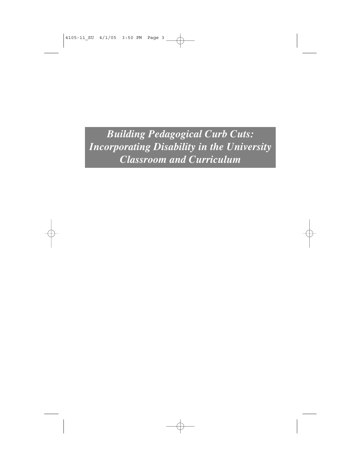*Building Pedagogical Curb Cuts: Incorporating Disability in the University Classroom and Curriculum*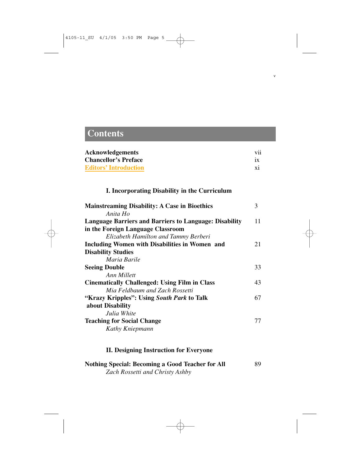# **Contents**

| <b>Acknowledgements</b>                                       | V11 |
|---------------------------------------------------------------|-----|
| <b>Chancellor's Preface</b>                                   | ix  |
| <b>Editors' Introduction</b>                                  | xi  |
|                                                               |     |
| I. Incorporating Disability in the Curriculum                 |     |
| <b>Mainstreaming Disability: A Case in Bioethics</b>          | 3   |
| Anita Ho                                                      |     |
| <b>Language Barriers and Barriers to Language: Disability</b> | 11  |
| in the Foreign Language Classroom                             |     |
| Elizabeth Hamilton and Tammy Berberi                          |     |
| <b>Including Women with Disabilities in Women and</b>         | 21  |
| <b>Disability Studies</b>                                     |     |
| Maria Barile                                                  |     |
| <b>Seeing Double</b>                                          | 33  |
| Ann Millett                                                   |     |
| <b>Cinematically Challenged: Using Film in Class</b>          | 43  |
| Mia Feldbaum and Zach Rossetti                                |     |
| "Krazy Kripples": Using South Park to Talk                    | 67  |
| about Disability                                              |     |
| Julia White                                                   |     |
| <b>Teaching for Social Change</b>                             | 77  |
| Kathy Kniepmann                                               |     |
|                                                               |     |
| <b>II. Designing Instruction for Everyone</b>                 |     |
|                                                               |     |

| <b>Nothing Special: Becoming a Good Teacher for All</b> | 89 |
|---------------------------------------------------------|----|
| <b>Zach Rossetti and Christy Ashby</b>                  |    |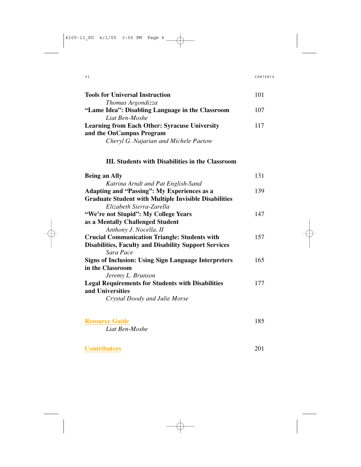| <b>Tools for Universal Instruction</b>               | 101 |
|------------------------------------------------------|-----|
| Thomas Argondizza                                    |     |
| "Lame Idea": Disabling Language in the Classroom     | 107 |
| Liat Ben-Moshe                                       |     |
| <b>Learning from Each Other: Syracuse University</b> | 117 |
| and the OnCampus Program                             |     |
| Cheryl G. Najarian and Michele Paetow                |     |

### **III. Students with Disabilities in the Classroom**

| <b>Being an Ally</b>                                         | 131 |
|--------------------------------------------------------------|-----|
| Katrina Arndt and Pat English-Sand                           |     |
| <b>Adapting and "Passing": My Experiences as a</b>           | 139 |
| <b>Graduate Student with Multiple Invisible Disabilities</b> |     |
| Elizabeth Sierra-Zarella                                     |     |
| "We're not Stupid": My College Years                         | 147 |
| as a Mentally Challenged Student                             |     |
| Anthony J. Nocella, II                                       |     |
| <b>Crucial Communication Triangle: Students with</b>         | 157 |
| <b>Disabilities, Faculty and Disability Support Services</b> |     |
| Sara Pace                                                    |     |
| <b>Signs of Inclusion: Using Sign Language Interpreters</b>  | 165 |
| in the Classroom                                             |     |
| Jeremy L. Brunson                                            |     |
| <b>Legal Requirements for Students with Disabilities</b>     | 177 |
| and Universities                                             |     |
| Crystal Doody and Julie Morse                                |     |
|                                                              |     |

**[Resource Guide](#page-8-0)** 185 *Liat Ben-Moshe*

**[Contributors](#page-23-0)** 201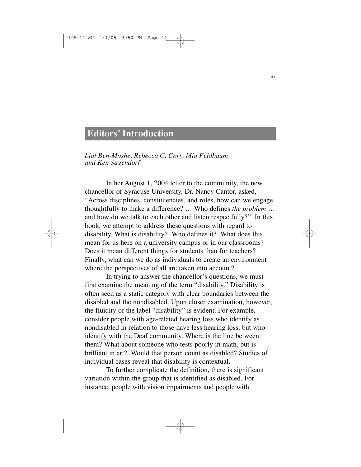## <span id="page-3-0"></span>**Editors' Introduction**

*Liat Ben-Moshe, Rebecca C. Cory, Mia Feldbaum and Ken Sagendorf*

In her August 1, 2004 letter to the community, the new chancellor of Syracuse University, Dr. Nancy Cantor, asked, "Across disciplines, constituencies, and roles, how can we engage thoughtfully to make a difference? … Who defines *the problem* … and how do we talk to each other and listen respectfully?" In this book, we attempt to address these questions with regard to disability. What is disability? Who defines it? What does this mean for us here on a university campus or in our classrooms? Does it mean different things for students than for teachers? Finally, what can we do as individuals to create an environment where the perspectives of all are taken into account?

In trying to answer the chancellor's questions, we must first examine the meaning of the term "disability." Disability is often seen as a static category with clear boundaries between the disabled and the nondisabled. Upon closer examination, however, the fluidity of the label "disability" is evident. For example, consider people with age-related hearing loss who identify as nondisabled in relation to those have less hearing loss, but who identify with the Deaf community. Where is the line between them? What about someone who tests poorly in math, but is brilliant in art? Would that person count as disabled? Studies of individual cases reveal that disability is contextual.

To further complicate the definition, there is significant variation within the group that is identified as disabled. For instance, people with vision impairments and people with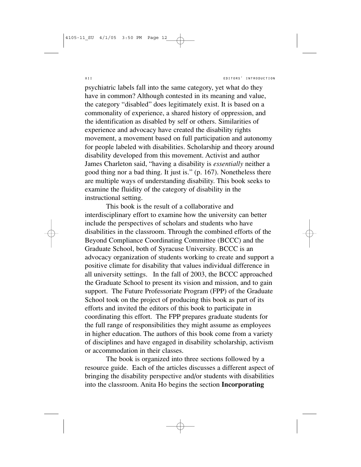psychiatric labels fall into the same category, yet what do they have in common? Although contested in its meaning and value, the category "disabled" does legitimately exist. It is based on a commonality of experience, a shared history of oppression, and the identification as disabled by self or others. Similarities of experience and advocacy have created the disability rights movement, a movement based on full participation and autonomy for people labeled with disabilities. Scholarship and theory around disability developed from this movement. Activist and author James Charleton said, "having a disability is *essentially* neither a good thing nor a bad thing. It just is." (p. 167). Nonetheless there are multiple ways of understanding disability. This book seeks to examine the fluidity of the category of disability in the instructional setting.

This book is the result of a collaborative and interdisciplinary effort to examine how the university can better include the perspectives of scholars and students who have disabilities in the classroom. Through the combined efforts of the Beyond Compliance Coordinating Committee (BCCC) and the Graduate School, both of Syracuse University. BCCC is an advocacy organization of students working to create and support a positive climate for disability that values individual difference in all university settings. In the fall of 2003, the BCCC approached the Graduate School to present its vision and mission, and to gain support. The Future Professoriate Program (FPP) of the Graduate School took on the project of producing this book as part of its efforts and invited the editors of this book to participate in coordinating this effort. The FPP prepares graduate students for the full range of responsibilities they might assume as employees in higher education. The authors of this book come from a variety of disciplines and have engaged in disability scholarship, activism or accommodation in their classes.

The book is organized into three sections followed by a resource guide. Each of the articles discusses a different aspect of bringing the disability perspective and/or students with disabilities into the classroom. Anita Ho begins the section **Incorporating**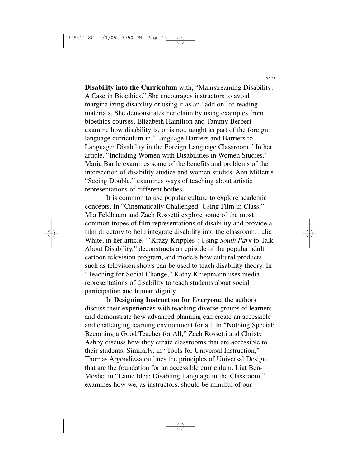**Disability into the Curriculum** with, "Mainstreaming Disability: A Case in Bioethics." She encourages instructors to avoid marginalizing disability or using it as an "add on" to reading materials. She demonstrates her claim by using examples from bioethics courses. Elizabeth Hamilton and Tammy Berberi examine how disability is, or is not, taught as part of the foreign language curriculum in "Language Barriers and Barriers to Language: Disability in the Foreign Language Classroom." In her article, "Including Women with Disabilities in Women Studies," Maria Barile examines some of the benefits and problems of the intersection of disability studies and women studies. Ann Millett's "Seeing Double," examines ways of teaching about artistic representations of different bodies.

It is common to use popular culture to explore academic concepts. In "Cinematically Challenged: Using Film in Class," Mia Feldbaum and Zach Rossetti explore some of the most common tropes of film representations of disability and provide a film directory to help integrate disability into the classroom. Julia White, in her article, "'Krazy Kripples': Using *South Park* to Talk About Disability," deconstructs an episode of the popular adult cartoon television program, and models how cultural products such as television shows can be used to teach disability theory. In "Teaching for Social Change," Kathy Kniepmann uses media representations of disability to teach students about social participation and human dignity.

In **Designing Instruction for Everyone**, the authors discuss their experiences with teaching diverse groups of learners and demonstrate how advanced planning can create an accessible and challenging learning environment for all. In "Nothing Special: Becoming a Good Teacher for All," Zach Rossetti and Christy Ashby discuss how they create classrooms that are accessible to their students. Similarly, in "Tools for Universal Instruction," Thomas Argondizza outlines the principles of Universal Design that are the foundation for an accessible curriculum. Liat Ben-Moshe, in "Lame Idea: Disabling Language in the Classroom," examines how we, as instructors, should be mindful of our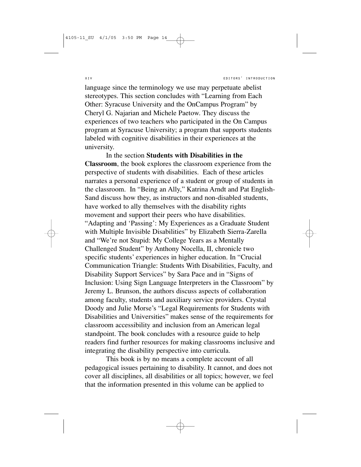language since the terminology we use may perpetuate abelist stereotypes. This section concludes with "Learning from Each Other: Syracuse University and the OnCampus Program" by Cheryl G. Najarian and Michele Paetow. They discuss the experiences of two teachers who participated in the On Campus program at Syracuse University; a program that supports students labeled with cognitive disabilities in their experiences at the university.

In the section **Students with Disabilities in the Classroom**, the book explores the classroom experience from the perspective of students with disabilities. Each of these articles narrates a personal experience of a student or group of students in the classroom. In "Being an Ally," Katrina Arndt and Pat English-Sand discuss how they, as instructors and non-disabled students, have worked to ally themselves with the disability rights movement and support their peers who have disabilities. "Adapting and 'Passing': My Experiences as a Graduate Student with Multiple Invisible Disabilities" by Elizabeth Sierra-Zarella and "We're not Stupid: My College Years as a Mentally Challenged Student" by Anthony Nocella, II, chronicle two specific students' experiences in higher education. In "Crucial Communication Triangle: Students With Disabilities, Faculty, and Disability Support Services" by Sara Pace and in "Signs of Inclusion: Using Sign Language Interpreters in the Classroom" by Jeremy L. Brunson, the authors discuss aspects of collaboration among faculty, students and auxiliary service providers. Crystal Doody and Julie Morse's "Legal Requirements for Students with Disabilities and Universities" makes sense of the requirements for classroom accessibility and inclusion from an American legal standpoint. The book concludes with a resource guide to help readers find further resources for making classrooms inclusive and integrating the disability perspective into curricula.

This book is by no means a complete account of all pedagogical issues pertaining to disability. It cannot, and does not cover all disciplines, all disabilities or all topics; however, we feel that the information presented in this volume can be applied to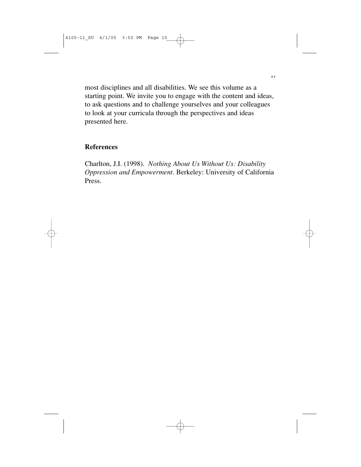most disciplines and all disabilities. We see this volume as a starting point. We invite you to engage with the content and ideas, to ask questions and to challenge yourselves and your colleagues to look at your curricula through the perspectives and ideas presented here.

## **References**

Charlton, J.I. (1998). *Nothing About Us Without Us: Disability Oppression and Empowerment*. Berkeley: University of California Press.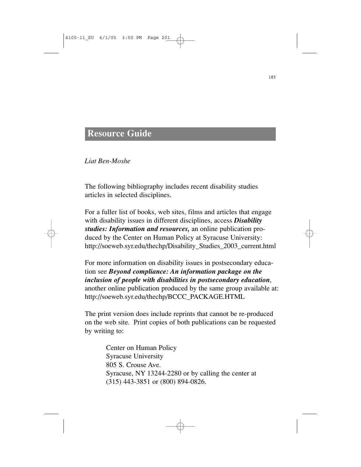## <span id="page-8-0"></span>**Resource Guide**

*Liat Ben-Moshe*

The following bibliography includes recent disability studies articles in selected disciplines.

For a fuller list of books, web sites, films and articles that engage with disability issues in different disciplines, access *Disability studies: Information and resources,* an online publication produced by the Center on Human Policy at Syracuse University: http://soeweb.syr.edu/thechp/Disability\_Studies\_2003\_current.html

For more information on disability issues in postsecondary education see *Beyond compliance: An information package on the inclusion of people with disabilities in postsecondary education*, another online publication produced by the same group available at: http://soeweb.syr.edu/thechp/BCCC\_PACKAGE.HTML

The print version does include reprints that cannot be re-produced on the web site. Print copies of both publications can be requested by writing to:

> Center on Human Policy Syracuse University 805 S. Crouse Ave. Syracuse, NY 13244-2280 or by calling the center at (315) 443-3851 or (800) 894-0826.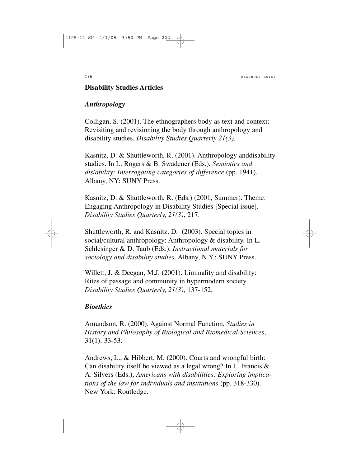186 **resource guide and the set of the set of the set of the set of the set of the set of the set of the set of the set of the set of the set of the set of the set of the set of the set of the set of the set of the set of** 

#### **Disability Studies Articles**

#### *Anthropology*

Colligan, S. (2001). The ethnographers body as text and context: Revisiting and revisioning the body through anthropology and disability studies. *Disability Studies Quarterly 21(3)*.

Kasnitz, D. & Shuttleworth, R. (2001). Anthropology anddisability studies. In L. Rogers & B. Swadener (Eds.), *Semiotics and dis/ability: Interrogating categories of difference* (pp. 1941). Albany, NY: SUNY Press.

Kasnitz, D. & Shuttleworth, R. (Eds.) (2001, Summer). Theme: Engaging Anthropology in Disability Studies [Special issue]. *Disability Studies Quarterly, 21(3)*, 217.

Shuttleworth, R. and Kasnitz, D. (2003). Special topics in social/cultural anthropology: Anthropology & disability. In L. Schlesinger & D. Taub (Eds.), *Instructional materials for sociology and disability studies*. Albany, N.Y.: SUNY Press.

Willett, J. & Deegan, M.J. (2001). Liminality and disability: Rites of passage and community in hypermodern society. *Disability Studies Quarterly, 21(3),* 137-152.

#### *Bioethics*

Amundson, R. (2000). Against Normal Function. *Studies in History and Philosophy of Biological and Biomedical Sciences*, 31(1): 33-53.

Andrews, L., & Hibbert, M. (2000). Courts and wrongful birth: Can disability itself be viewed as a legal wrong? In L. Francis & A. Silvers (Eds.), *Americans with disabilities: Exploring implications of the law for individuals and institutions* (pp. 318-330). New York: Routledge.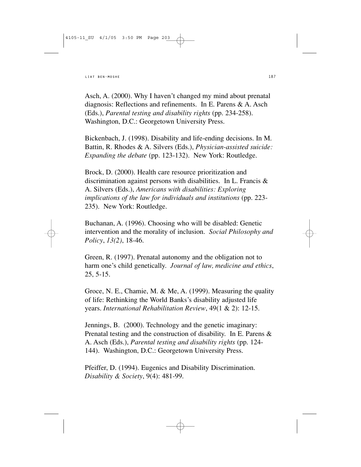Asch, A. (2000). Why I haven't changed my mind about prenatal diagnosis: Reflections and refinements. In E. Parens & A. Asch (Eds.), *Parental testing and disability rights* (pp. 234-258). Washington, D.C.: Georgetown University Press.

Bickenbach, J. (1998). Disability and life-ending decisions. In M. Battin, R. Rhodes & A. Silvers (Eds.), *Physician-assisted suicide: Expanding the debate* (pp. 123-132). New York: Routledge.

Brock, D. (2000). Health care resource prioritization and discrimination against persons with disabilities. In L. Francis & A. Silvers (Eds.), *Americans with disabilities: Exploring implications of the law for individuals and institutions* (pp. 223- 235). New York: Routledge.

Buchanan, A. (1996). Choosing who will be disabled: Genetic intervention and the morality of inclusion. *Social Philosophy and Policy*, *13(2)*, 18-46.

Green, R. (1997). Prenatal autonomy and the obligation not to harm one's child genetically. *Journal of law, medicine and ethics*, 25, 5-15.

Groce, N. E., Chamie, M. & Me, A. (1999). Measuring the quality of life: Rethinking the World Banks's disability adjusted life years. *International Rehabilitation Review*, 49(1 & 2): 12-15.

Jennings, B. (2000). Technology and the genetic imaginary: Prenatal testing and the construction of disability. In E. Parens & A. Asch (Eds.), *Parental testing and disability rights* (pp. 124- 144). Washington, D.C.: Georgetown University Press.

Pfeiffer, D. (1994). Eugenics and Disability Discrimination. *Disability & Society*, 9(4): 481-99.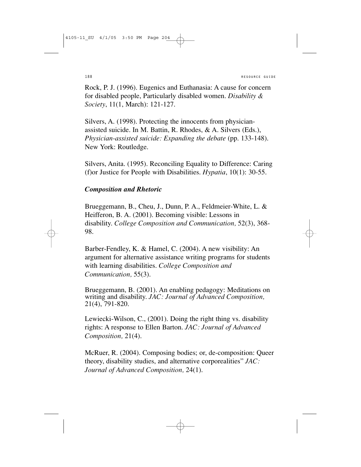Rock, P. J. (1996). Eugenics and Euthanasia: A cause for concern for disabled people, Particularly disabled women. *Disability & Society*, 11(1, March): 121-127.

Silvers, A. (1998). Protecting the innocents from physicianassisted suicide. In M. Battin, R. Rhodes, & A. Silvers (Eds.), *Physician-assisted suicide: Expanding the debate* (pp. 133-148). New York: Routledge.

Silvers, Anita. (1995). Reconciling Equality to Difference: Caring (f)or Justice for People with Disabilities. *Hypatia*, 10(1): 30-55.

#### *Composition and Rhetoric*

Brueggemann, B., Cheu, J., Dunn, P. A., Feldmeier-White, L. & Heifferon, B. A. (2001). Becoming visible: Lessons in disability. *College Composition and Communication,* 52(3), 368- 98.

Barber-Fendley, K. & Hamel, C. (2004). A new visibility: An argument for alternative assistance writing programs for students with learning disabilities. *College Composition and Communication,* 55(3).

Brueggemann, B. (2001). An enabling pedagogy: Meditations on writing and disability. *JAC: Journal of Advanced Composition,* 21(4), 791-820.

Lewiecki-Wilson, C., (2001). Doing the right thing vs. disability rights: A response to Ellen Barton. *JAC: Journal of Advanced Composition,* 21(4).

McRuer, R. (2004). Composing bodies; or, de-composition: Queer theory, disability studies, and alternative corporealities" *JAC: Journal of Advanced Composition,* 24(1).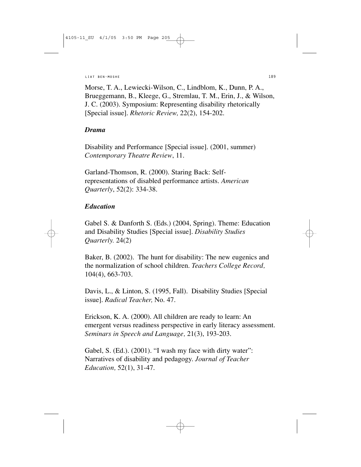Morse, T. A., Lewiecki-Wilson, C., Lindblom, K., Dunn, P. A., Brueggemann, B., Kleege, G., Stremlau, T. M., Erin, J., & Wilson, J. C. (2003). Symposium: Representing disability rhetorically [Special issue]. *Rhetoric Review,* 22(2), 154-202.

#### *Drama*

Disability and Performance [Special issue]. (2001, summer) *Contemporary Theatre Review*, 11.

Garland-Thomson, R. (2000). Staring Back: Selfrepresentations of disabled performance artists. *American Quarterly*, 52(2): 334-38.

### *Education*

Gabel S. & Danforth S. (Eds.) (2004, Spring). Theme: Education and Disability Studies [Special issue]. *Disability Studies Quarterly.* 24(2)

Baker, B. (2002). The hunt for disability: The new eugenics and the normalization of school children. *Teachers College Record,*  104(4), 663-703.

Davis, L., & Linton, S. (1995, Fall). Disability Studies [Special issue]. *Radical Teacher,* No. 47.

Erickson, K. A. (2000). All children are ready to learn: An emergent versus readiness perspective in early literacy assessment. *Seminars in Speech and Language,* 21(3), 193-203.

Gabel, S. (Ed.). (2001). "I wash my face with dirty water": Narratives of disability and pedagogy. *Journal of Teacher Education,* 52(1), 31-47.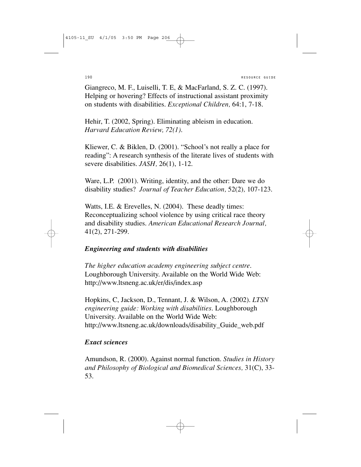Giangreco, M. F., Luiselli, T. E, & MacFarland, S. Z. C. (1997). Helping or hovering? Effects of instructional assistant proximity on students with disabilities. *Exceptional Children,* 64:1, 7-18.

Hehir, T. (2002, Spring). Eliminating ableism in education. *Harvard Education Review, 72(1)*.

Kliewer, C. & Biklen, D. (2001). "School's not really a place for reading": A research synthesis of the literate lives of students with severe disabilities. *JASH,* 26(1), 1-12.

Ware, L.P. (2001). Writing, identity, and the other: Dare we do disability studies? *Journal of Teacher Education,* 52(2)*,* 107-123.

Watts, I.E. & Erevelles, N. (2004). These deadly times: Reconceptualizing school violence by using critical race theory and disability studies. *American Educational Research Journal,* 41(2), 271-299.

#### *Engineering and students with disabilities*

*The higher education academy engineering subject centre*. Loughborough University. Available on the World Wide Web: http://www.ltsneng.ac.uk/er/dis/index.asp

Hopkins, C, Jackson, D., Tennant, J. & Wilson, A. (2002). *LTSN engineering guide: Working with disabilities*. Loughborough University. Available on the World Wide Web: http://www.ltsneng.ac.uk/downloads/disability\_Guide\_web.pdf

#### *Exact sciences*

Amundson, R. (2000). Against normal function. *Studies in History and Philosophy of Biological and Biomedical Sciences,* 31(C), 33- 53.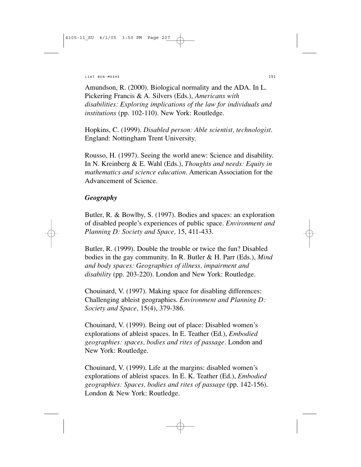Amundson, R. (2000). Biological normality and the ADA. In L. Pickering Francis & A. Silvers (Eds.), *Americans with disabilities: Exploring implications of the law for individuals and institutions* (pp. 102-110)*.* New York: Routledge.

Hopkins, C. (1999). *Disabled person: Able scientist, technologist*. England: Nottingham Trent University.

Rousso, H. (1997). Seeing the world anew: Science and disability. In N. Kreinberg & E. Wahl (Eds.), *Thoughts and needs: Equity in mathematics and science education*. American Association for the Advancement of Science.

#### *Geography*

Butler, R. & Bowlby, S. (1997). Bodies and spaces: an exploration of disabled people's experiences of public space. *Environment and Planning D: Society and Space,* 15, 411-433.

Butler, R. (1999). Double the trouble or twice the fun? Disabled bodies in the gay community. In R. Butler & H. Parr (Eds.), *Mind and body spaces: Geographies of illness, impairment and disability* (pp. 203-220). London and New York: Routledge.

Chouinard, V. (1997). Making space for disabling differences: Challenging ableist geographies. *Environment and Planning D: Society and Space*, 15(4), 379-386.

Chouinard, V. (1999). Being out of place: Disabled women's explorations of ableist spaces. In E. Teather (Ed.), *Embodied geographies: spaces, bodies and rites of passage.* London and New York: Routledge.

Chouinard, V. (1999). Life at the margins: disabled women's explorations of ableist spaces. In E. K. Teather (Ed.), *Embodied geographies: Spaces, bodies and rites of passage* (pp. 142-156). London & New York: Routledge.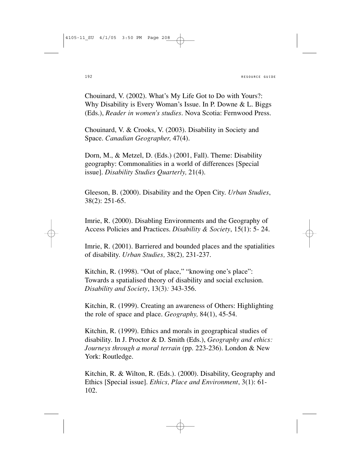Chouinard, V. (2002). What's My Life Got to Do with Yours?: Why Disability is Every Woman's Issue. In P. Downe & L. Biggs (Eds.), *Reader in women's studies*. Nova Scotia: Fernwood Press.

Chouinard, V. & Crooks, V. (2003). Disability in Society and Space. *Canadian Geographer,* 47(4).

Dorn, M., & Metzel, D. (Eds.) (2001, Fall). Theme: Disability geography: Commonalities in a world of differences [Special issue]. *Disability Studies Quarterly,* 21(4).

Gleeson, B. (2000). Disability and the Open City. *Urban Studies*, 38(2): 251-65.

Imrie, R. (2000). Disabling Environments and the Geography of Access Policies and Practices. *Disability & Society*, 15(1): 5- 24.

Imrie, R. (2001). Barriered and bounded places and the spatialities of disability. *Urban Studies,* 38(2)*,* 231-237.

Kitchin, R. (1998). "Out of place," "knowing one's place": Towards a spatialised theory of disability and social exclusion. *Disability and Society*, 13(3)*:* 343-356.

Kitchin, R. (1999). Creating an awareness of Others: Highlighting the role of space and place. *Geography,* 84(1), 45-54.

Kitchin, R. (1999). Ethics and morals in geographical studies of disability. In J. Proctor & D. Smith (Eds.), *Geography and ethics: Journeys through a moral terrain* (pp. 223-236). London & New York: Routledge.

Kitchin, R. & Wilton, R. (Eds.). (2000). Disability, Geography and Ethics [Special issue]. *Ethics, Place and Environment*, 3(1): 61- 102.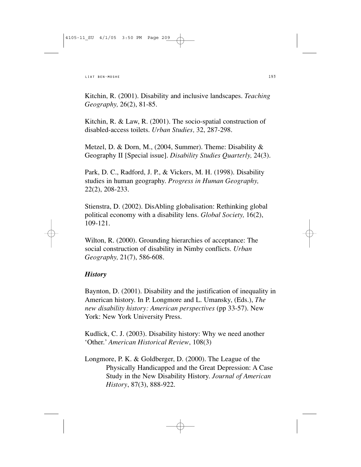Kitchin, R. (2001). Disability and inclusive landscapes. *Teaching Geography,* 26(2), 81-85.

Kitchin, R. & Law, R. (2001). The socio-spatial construction of disabled-access toilets. *Urban Studies,* 32, 287-298.

Metzel, D. & Dorn, M., (2004, Summer). Theme: Disability & Geography II [Special issue]. *Disability Studies Quarterly,* 24(3).

Park, D. C., Radford, J. P., & Vickers, M. H. (1998). Disability studies in human geography. *Progress in Human Geography,*  22(2), 208-233.

Stienstra, D. (2002). DisAbling globalisation: Rethinking global political economy with a disability lens. *Global Society,* 16(2), 109-121.

Wilton, R. (2000). Grounding hierarchies of acceptance: The social construction of disability in Nimby conflicts. *Urban Geography,* 21(7), 586-608.

#### *History*

Baynton, D. (2001). Disability and the justification of inequality in American history. In P. Longmore and L. Umansky, (Eds.), *The new disability history: American perspectives* (pp 33-57). New York: New York University Press.

Kudlick, C. J. (2003). Disability history: Why we need another 'Other.' *American Historical Review*, 108(3)

Longmore, P. K. & Goldberger, D. (2000). The League of the Physically Handicapped and the Great Depression: A Case Study in the New Disability History. *Journal of American History*, 87(3), 888-922.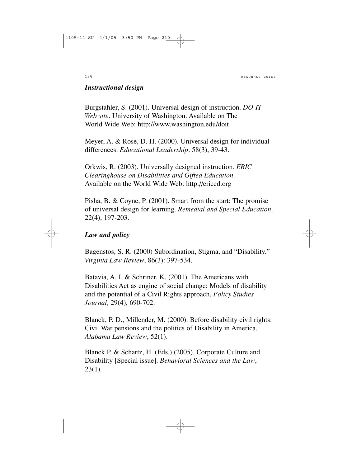194 resource guide and the set of the set of the set of the set of the set of the set of the set of the set of the set of the set of the set of the set of the set of the set of the set of the set of the set of the set of t

#### *Instructional design*

Burgstahler, S. (2001). Universal design of instruction. *DO-IT Web site*. University of Washington. Available on The World Wide Web: http://www.washington.edu/doit

Meyer, A. & Rose, D. H. (2000). Universal design for individual differences. *Educational Leadership,* 58(3), 39-43.

Orkwis, R. (2003). Universally designed instruction*. ERIC Clearinghouse on Disabilities and Gifted Education.* Available on the World Wide Web: http://ericed.org

Pisha, B. & Coyne, P. (2001). Smart from the start: The promise of universal design for learning. *Remedial and Special Education,* 22(4), 197-203.

#### *Law and policy*

Bagenstos, S. R. (2000) Subordination, Stigma, and "Disability." *Virginia Law Review*, 86(3): 397-534.

Batavia, A. I. & Schriner, K. (2001). The Americans with Disabilities Act as engine of social change: Models of disability and the potential of a Civil Rights approach. *Policy Studies Journal,* 29(4), 690-702.

Blanck, P. D., Millender, M. (2000). Before disability civil rights: Civil War pensions and the politics of Disability in America. *Alabama Law Review*, 52(1).

Blanck P. & Schartz, H. (Eds.) (2005). Corporate Culture and Disability [Special issue]. *Behavioral Sciences and the Law*,  $23(1)$ .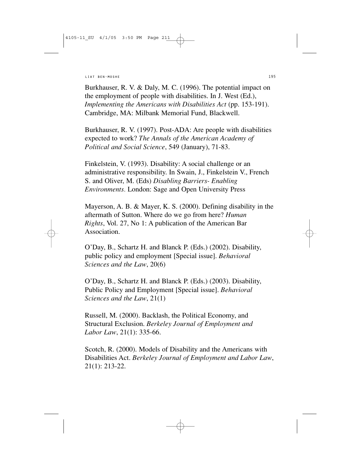Burkhauser, R. V. & Daly, M. C. (1996). The potential impact on the employment of people with disabilities. In J. West (Ed.), *Implementing the Americans with Disabilities Act* (pp. 153-191). Cambridge, MA: Milbank Memorial Fund, Blackwell.

Burkhauser, R. V. (1997). Post-ADA: Are people with disabilities expected to work? *The Annals of the American Academy of Political and Social Science*, 549 (January), 71-83.

Finkelstein, V. (1993). Disability: A social challenge or an administrative responsibility. In Swain, J., Finkelstein V., French S. and Oliver, M. (Eds) *Disabling Barriers- Enabling Environments.* London: Sage and Open University Press

Mayerson, A. B. & Mayer, K. S. (2000). Defining disability in the aftermath of Sutton. Where do we go from here? *Human Rights*, Vol. 27, No 1: A publication of the American Bar Association.

O'Day, B., Schartz H. and Blanck P. (Eds.) (2002). Disability, public policy and employment [Special issue]. *Behavioral Sciences and the Law*, 20(6)

O'Day, B., Schartz H. and Blanck P. (Eds.) (2003). Disability, Public Policy and Employment [Special issue]. *Behavioral Sciences and the Law*, 21(1)

Russell, M. (2000). Backlash, the Political Economy, and Structural Exclusion. *Berkeley Journal of Employment and Labor Law*, 21(1): 335-66.

Scotch, R. (2000). Models of Disability and the Americans with Disabilities Act. *Berkeley Journal of Employment and Labor Law*, 21(1): 213-22.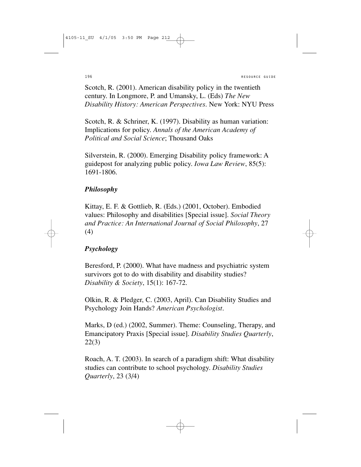Scotch, R. (2001). American disability policy in the twentieth century. In Longmore, P. and Umansky, L. (Eds) *The New Disability History: American Perspectives*. New York: NYU Press

Scotch, R. & Schriner, K. (1997). Disability as human variation: Implications for policy. *Annals of the American Academy of Political and Social Science*; Thousand Oaks

Silverstein, R. (2000). Emerging Disability policy framework: A guidepost for analyzing public policy. *Iowa Law Review*, 85(5): 1691-1806.

#### *Philosophy*

Kittay, E. F. & Gottlieb, R. (Eds.) (2001, October). Embodied values: Philosophy and disabilities [Special issue]. *Social Theory and Practice: An International Journal of Social Philosophy*, 27 (4)

### *Psychology*

Beresford, P. (2000). What have madness and psychiatric system survivors got to do with disability and disability studies? *Disability & Society*, 15(1): 167-72.

Olkin, R. & Pledger, C. (2003, April). Can Disability Studies and Psychology Join Hands? *American Psychologist*.

Marks, D (ed.) (2002, Summer). Theme: Counseling, Therapy, and Emancipatory Praxis [Special issue]. *Disability Studies Quarterly*, 22(3)

Roach, A. T. (2003). In search of a paradigm shift: What disability studies can contribute to school psychology. *Disability Studies Quarterly*, 23 (3/4)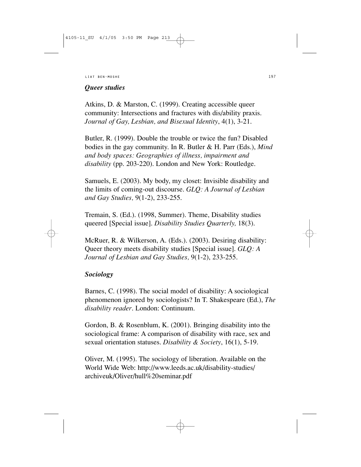### *Queer studies*

Atkins, D. & Marston, C. (1999). Creating accessible queer community: Intersections and fractures with dis/ability praxis. *Journal of Gay, Lesbian, and Bisexual Identity*, 4(1), 3-21.

Butler, R. (1999). Double the trouble or twice the fun? Disabled bodies in the gay community. In R. Butler & H. Parr (Eds.), *Mind and body spaces: Geographies of illness, impairment and disability* (pp. 203-220). London and New York: Routledge.

Samuels, E. (2003). My body, my closet: Invisible disability and the limits of coming-out discourse. *GLQ: A Journal of Lesbian and Gay Studies,* 9(1-2), 233-255.

Tremain, S. (Ed.). (1998, Summer). Theme, Disability studies queered [Special issue]. *Disability Studies Quarterly,* 18(3).

McRuer, R. & Wilkerson, A. (Eds.). (2003). Desiring disability: Queer theory meets disability studies [Special issue]. *GLQ: A Journal of Lesbian and Gay Studies,* 9(1-2), 233-255.

#### *Sociology*

Barnes, C. (1998). The social model of disability: A sociological phenomenon ignored by sociologists? In T. Shakespeare (Ed.), *The disability reader*. London: Continuum.

Gordon, B. & Rosenblum, K. (2001). Bringing disability into the sociological frame: A comparison of disability with race, sex and sexual orientation statuses. *Disability & Society*, 16(1), 5-19.

Oliver, M. (1995). The sociology of liberation. Available on the World Wide Web: http://www.leeds.ac.uk/disability-studies/ archiveuk/Oliver/hull%20seminar.pdf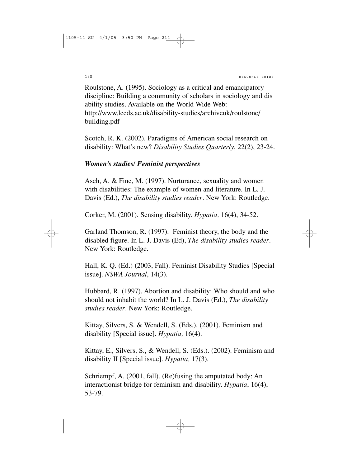Roulstone, A. (1995). Sociology as a critical and emancipatory discipline: Building a community of scholars in sociology and dis ability studies. Available on the World Wide Web: http://www.leeds.ac.uk/disability-studies/archiveuk/roulstone/ building.pdf

Scotch, R. K. (2002). Paradigms of American social research on disability: What's new? *Disability Studies Quarterly*, 22(2), 23-24.

#### *Women's studies/ Feminist perspectives*

Asch, A. & Fine, M. (1997). Nurturance, sexuality and women with disabilities: The example of women and literature. In L. J. Davis (Ed.), *The disability studies reader*. New York: Routledge.

Corker, M. (2001). Sensing disability. *Hypatia,* 16(4), 34-52.

Garland Thomson, R. (1997). Feminist theory, the body and the disabled figure. In L. J. Davis (Ed), *The disability studies reader*. New York: Routledge.

Hall, K. Q. (Ed.) (2003, Fall). Feminist Disability Studies [Special issue]. *NSWA Journal*, 14(3).

Hubbard, R. (1997). Abortion and disability: Who should and who should not inhabit the world? In L. J. Davis (Ed.), *The disability studies reader*. New York: Routledge.

Kittay, Silvers, S. & Wendell, S. (Eds.). (2001). Feminism and disability [Special issue]. *Hypatia,* 16(4).

Kittay, E., Silvers, S., & Wendell, S. (Eds.). (2002). Feminism and disability II [Special issue]. *Hypatia,* 17(3).

Schriempf, A. (2001, fall). (Re)fusing the amputated body: An interactionist bridge for feminism and disability. *Hypatia*, 16(4), 53-79.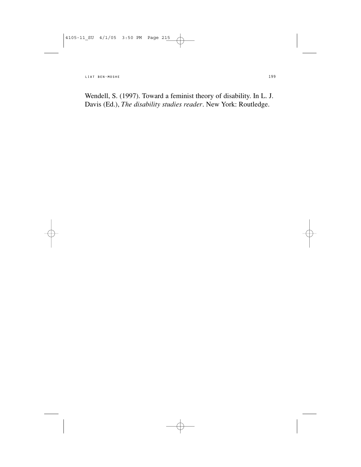Wendell, S. (1997). Toward a feminist theory of disability. In L. J. Davis (Ed.), *The disability studies reader*. New York: Routledge.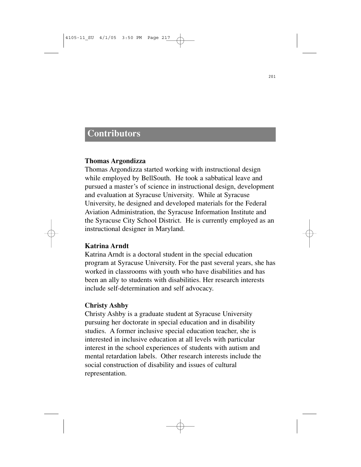## <span id="page-23-0"></span>**Contributors**

### **Thomas Argondizza**

Thomas Argondizza started working with instructional design while employed by BellSouth. He took a sabbatical leave and pursued a master's of science in instructional design, development and evaluation at Syracuse University. While at Syracuse University, he designed and developed materials for the Federal Aviation Administration, the Syracuse Information Institute and the Syracuse City School District. He is currently employed as an instructional designer in Maryland.

#### **Katrina Arndt**

Katrina Arndt is a doctoral student in the special education program at Syracuse University. For the past several years, she has worked in classrooms with youth who have disabilities and has been an ally to students with disabilities. Her research interests include self-determination and self advocacy.

## **Christy Ashby**

Christy Ashby is a graduate student at Syracuse University pursuing her doctorate in special education and in disability studies. A former inclusive special education teacher, she is interested in inclusive education at all levels with particular interest in the school experiences of students with autism and mental retardation labels. Other research interests include the social construction of disability and issues of cultural representation.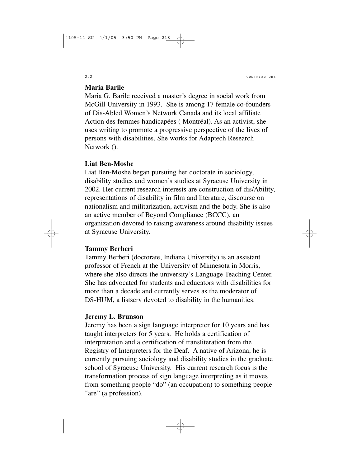#### **Maria Barile**

Maria G. Barile received a master's degree in social work from McGill University in 1993. She is among 17 female co-founders of Dis-Abled Women's Network Canada and its local affiliate Action des femmes handicapées ( Montréal). As an activist, she uses writing to promote a progressive perspective of the lives of persons with disabilities. She works for Adaptech Research Network ().

#### **Liat Ben-Moshe**

Liat Ben-Moshe began pursuing her doctorate in sociology, disability studies and women's studies at Syracuse University in 2002. Her current research interests are construction of dis/Ability, representations of disability in film and literature, discourse on nationalism and militarization, activism and the body. She is also an active member of Beyond Compliance (BCCC), an organization devoted to raising awareness around disability issues at Syracuse University.

#### **Tammy Berberi**

Tammy Berberi (doctorate, Indiana University) is an assistant professor of French at the University of Minnesota in Morris, where she also directs the university's Language Teaching Center. She has advocated for students and educators with disabilities for more than a decade and currently serves as the moderator of DS-HUM, a listserv devoted to disability in the humanities.

#### **Jeremy L. Brunson**

Jeremy has been a sign language interpreter for 10 years and has taught interpreters for 5 years. He holds a certification of interpretation and a certification of transliteration from the Registry of Interpreters for the Deaf. A native of Arizona, he is currently pursuing sociology and disability studies in the graduate school of Syracuse University. His current research focus is the transformation process of sign language interpreting as it moves from something people "do" (an occupation) to something people "are" (a profession).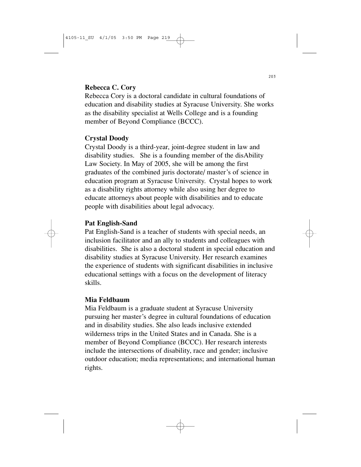## **Rebecca C. Cory**

Rebecca Cory is a doctoral candidate in cultural foundations of education and disability studies at Syracuse University. She works as the disability specialist at Wells College and is a founding member of Beyond Compliance (BCCC).

## **Crystal Doody**

Crystal Doody is a third-year, joint-degree student in law and disability studies. She is a founding member of the disAbility Law Society. In May of 2005, she will be among the first graduates of the combined juris doctorate/ master's of science in education program at Syracuse University. Crystal hopes to work as a disability rights attorney while also using her degree to educate attorneys about people with disabilities and to educate people with disabilities about legal advocacy.

## **Pat English-Sand**

Pat English-Sand is a teacher of students with special needs, an inclusion facilitator and an ally to students and colleagues with disabilities. She is also a doctoral student in special education and disability studies at Syracuse University. Her research examines the experience of students with significant disabilities in inclusive educational settings with a focus on the development of literacy skills.

## **Mia Feldbaum**

Mia Feldbaum is a graduate student at Syracuse University pursuing her master's degree in cultural foundations of education and in disability studies. She also leads inclusive extended wilderness trips in the United States and in Canada. She is a member of Beyond Compliance (BCCC). Her research interests include the intersections of disability, race and gender; inclusive outdoor education; media representations; and international human rights.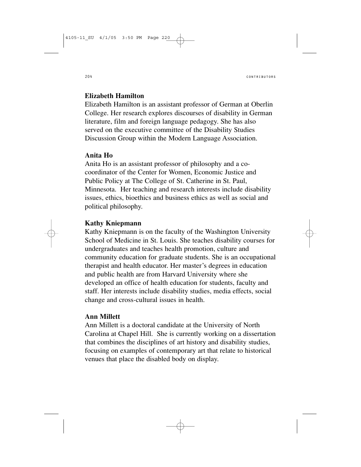204 contributors and the contributors of the contributors of the contributors of the contributors of the contributors of the contributors of the contributors of the contributors of the contributors of the contributors of t

#### **Elizabeth Hamilton**

Elizabeth Hamilton is an assistant professor of German at Oberlin College. Her research explores discourses of disability in German literature, film and foreign language pedagogy. She has also served on the executive committee of the Disability Studies Discussion Group within the Modern Language Association.

## **Anita Ho**

Anita Ho is an assistant professor of philosophy and a cocoordinator of the Center for Women, Economic Justice and Public Policy at The College of St. Catherine in St. Paul, Minnesota. Her teaching and research interests include disability issues, ethics, bioethics and business ethics as well as social and political philosophy.

## **Kathy Kniepmann**

Kathy Kniepmann is on the faculty of the Washington University School of Medicine in St. Louis. She teaches disability courses for undergraduates and teaches health promotion, culture and community education for graduate students. She is an occupational therapist and health educator. Her master's degrees in education and public health are from Harvard University where she developed an office of health education for students, faculty and staff. Her interests include disability studies, media effects, social change and cross-cultural issues in health.

## **Ann Millett**

Ann Millett is a doctoral candidate at the University of North Carolina at Chapel Hill. She is currently working on a dissertation that combines the disciplines of art history and disability studies, focusing on examples of contemporary art that relate to historical venues that place the disabled body on display.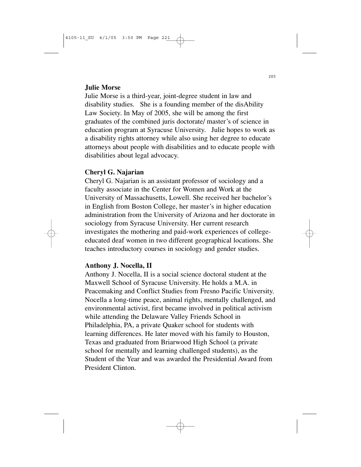## **Julie Morse**

Julie Morse is a third-year, joint-degree student in law and disability studies. She is a founding member of the disAbility Law Society. In May of 2005, she will be among the first graduates of the combined juris doctorate/ master's of science in education program at Syracuse University. Julie hopes to work as a disability rights attorney while also using her degree to educate attorneys about people with disabilities and to educate people with disabilities about legal advocacy.

## **Cheryl G. Najarian**

Cheryl G. Najarian is an assistant professor of sociology and a faculty associate in the Center for Women and Work at the University of Massachusetts, Lowell. She received her bachelor's in English from Boston College, her master's in higher education administration from the University of Arizona and her doctorate in sociology from Syracuse University. Her current research investigates the mothering and paid-work experiences of collegeeducated deaf women in two different geographical locations. She teaches introductory courses in sociology and gender studies.

## **Anthony J. Nocella, II**

Anthony J. Nocella, II is a social science doctoral student at the Maxwell School of Syracuse University. He holds a M.A. in Peacemaking and Conflict Studies from Fresno Pacific University. Nocella a long-time peace, animal rights, mentally challenged, and environmental activist, first became involved in political activism while attending the Delaware Valley Friends School in Philadelphia, PA, a private Quaker school for students with learning differences. He later moved with his family to Houston, Texas and graduated from Briarwood High School (a private school for mentally and learning challenged students), as the Student of the Year and was awarded the Presidential Award from President Clinton.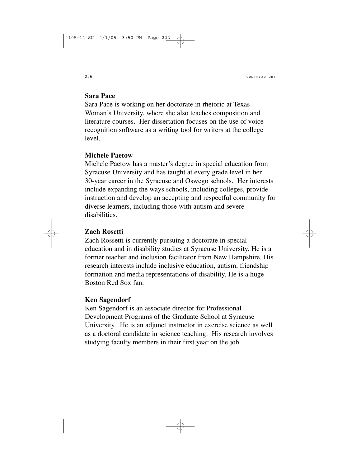206 contributors and the contributors of the contributors of the contributors of the contributors of the contributors of the contributors of the contributors of the contributors of the contributors of the contributors of t

## **Sara Pace**

Sara Pace is working on her doctorate in rhetoric at Texas Woman's University, where she also teaches composition and literature courses. Her dissertation focuses on the use of voice recognition software as a writing tool for writers at the college level.

## **Michele Paetow**

Michele Paetow has a master's degree in special education from Syracuse University and has taught at every grade level in her 30-year career in the Syracuse and Oswego schools. Her interests include expanding the ways schools, including colleges, provide instruction and develop an accepting and respectful community for diverse learners, including those with autism and severe disabilities.

## **Zach Rosetti**

Zach Rossetti is currently pursuing a doctorate in special education and in disability studies at Syracuse University. He is a former teacher and inclusion facilitator from New Hampshire. His research interests include inclusive education, autism, friendship formation and media representations of disability. He is a huge Boston Red Sox fan.

## **Ken Sagendorf**

Ken Sagendorf is an associate director for Professional Development Programs of the Graduate School at Syracuse University. He is an adjunct instructor in exercise science as well as a doctoral candidate in science teaching. His research involves studying faculty members in their first year on the job.